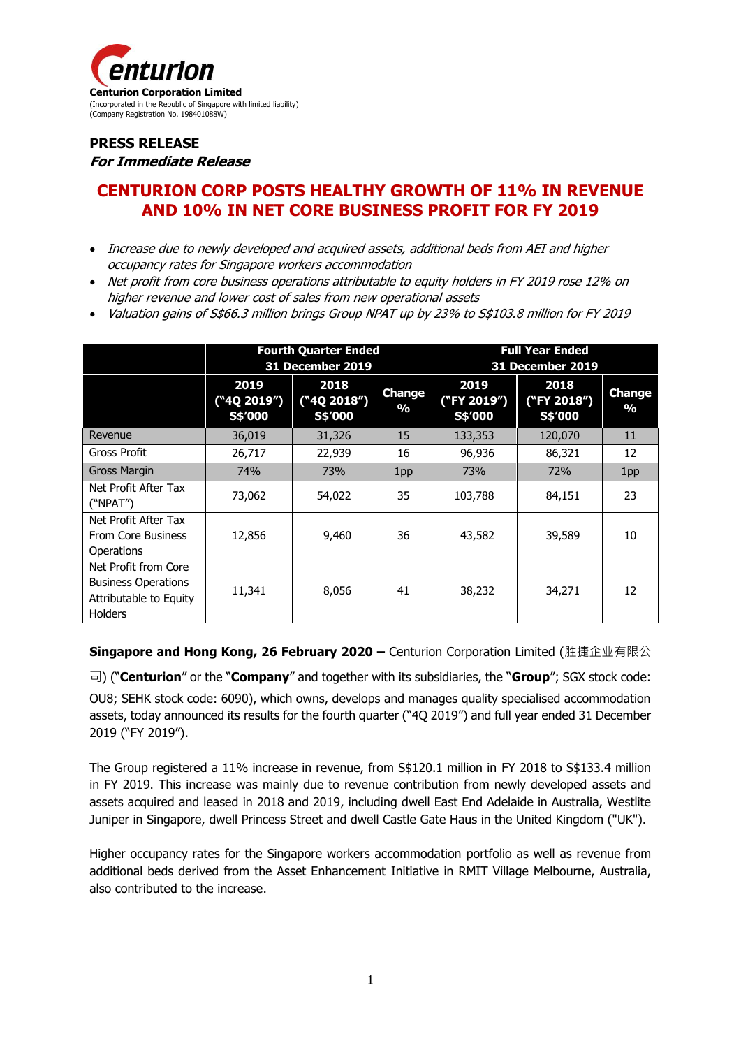

## **PRESS RELEASE For Immediate Release**

# **CENTURION CORP POSTS HEALTHY GROWTH OF 11% IN REVENUE AND 10% IN NET CORE BUSINESS PROFIT FOR FY 2019**

- Increase due to newly developed and acquired assets, additional beds from AEI and higher occupancy rates for Singapore workers accommodation
- Net profit from core business operations attributable to equity holders in FY 2019 rose 12% on higher revenue and lower cost of sales from new operational assets
- Valuation gains of S\$66.3 million brings Group NPAT up by 23% to S\$103.8 million for FY 2019

|                                                                                                | <b>Fourth Quarter Ended</b><br>31 December 2019 |                                |                                | <b>Full Year Ended</b><br>31 December 2019 |                                |                                |
|------------------------------------------------------------------------------------------------|-------------------------------------------------|--------------------------------|--------------------------------|--------------------------------------------|--------------------------------|--------------------------------|
|                                                                                                | 2019<br>("4Q 2019")<br>S\$'000                  | 2018<br>("4Q 2018")<br>S\$'000 | <b>Change</b><br>$\frac{0}{0}$ | 2019<br>("FY 2019")<br>S\$'000             | 2018<br>("FY 2018")<br>S\$'000 | <b>Change</b><br>$\frac{0}{0}$ |
| Revenue                                                                                        | 36,019                                          | 31,326                         | 15                             | 133,353                                    | 120,070                        | 11                             |
| Gross Profit                                                                                   | 26,717                                          | 22,939                         | 16                             | 96,936                                     | 86,321                         | 12                             |
| Gross Margin                                                                                   | 74%                                             | 73%                            | 1pp                            | 73%                                        | 72%                            | 1pp                            |
| Net Profit After Tax<br>("NPAT")                                                               | 73,062                                          | 54,022                         | 35                             | 103,788                                    | 84,151                         | 23                             |
| Net Profit After Tax<br><b>From Core Business</b><br>Operations                                | 12,856                                          | 9,460                          | 36                             | 43,582                                     | 39,589                         | 10                             |
| Net Profit from Core<br><b>Business Operations</b><br>Attributable to Equity<br><b>Holders</b> | 11,341                                          | 8,056                          | 41                             | 38,232                                     | 34,271                         | 12                             |

**Singapore and Hong Kong, 26 February 2020 –** Centurion Corporation Limited (胜捷企业有限公

司) ("**Centurion**" or the "**Company**" and together with its subsidiaries, the "**Group**"; SGX stock code: OU8; SEHK stock code: 6090), which owns, develops and manages quality specialised accommodation assets, today announced its results for the fourth quarter ("4Q 2019") and full year ended 31 December 2019 ("FY 2019").

The Group registered a 11% increase in revenue, from S\$120.1 million in FY 2018 to S\$133.4 million in FY 2019. This increase was mainly due to revenue contribution from newly developed assets and assets acquired and leased in 2018 and 2019, including dwell East End Adelaide in Australia, Westlite Juniper in Singapore, dwell Princess Street and dwell Castle Gate Haus in the United Kingdom ("UK").

Higher occupancy rates for the Singapore workers accommodation portfolio as well as revenue from additional beds derived from the Asset Enhancement Initiative in RMIT Village Melbourne, Australia, also contributed to the increase.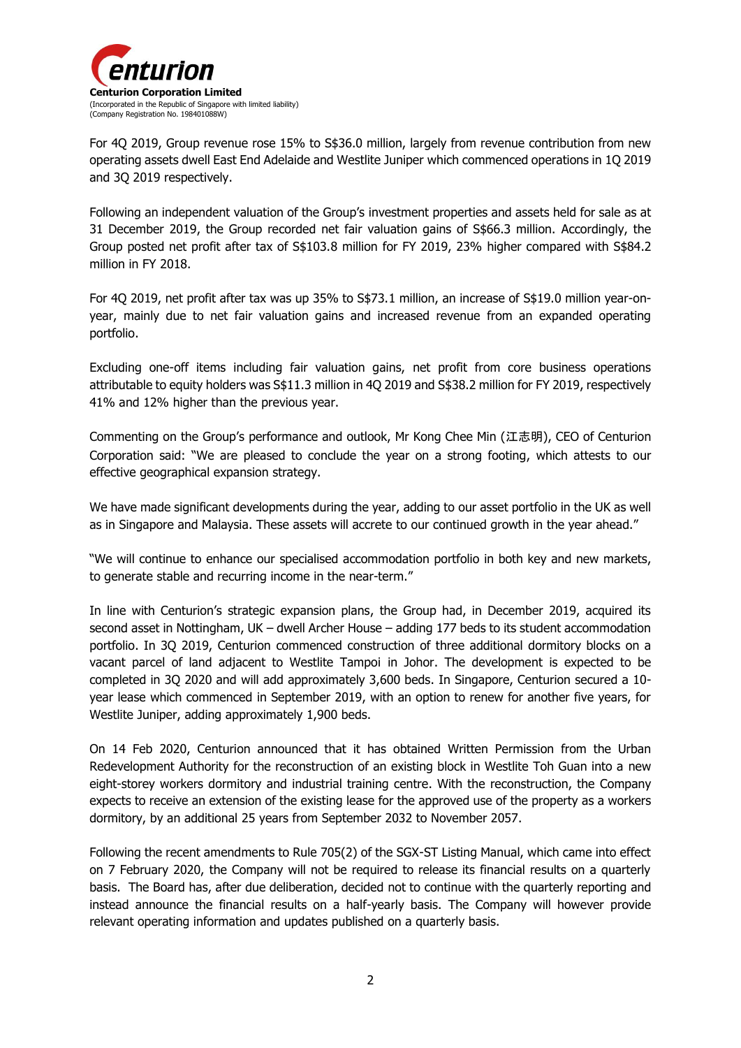

For 4Q 2019, Group revenue rose 15% to S\$36.0 million, largely from revenue contribution from new operating assets dwell East End Adelaide and Westlite Juniper which commenced operations in 1Q 2019 and 3Q 2019 respectively.

Following an independent valuation of the Group's investment properties and assets held for sale as at 31 December 2019, the Group recorded net fair valuation gains of S\$66.3 million. Accordingly, the Group posted net profit after tax of S\$103.8 million for FY 2019, 23% higher compared with S\$84.2 million in FY 2018.

For 4Q 2019, net profit after tax was up 35% to S\$73.1 million, an increase of S\$19.0 million year-onyear, mainly due to net fair valuation gains and increased revenue from an expanded operating portfolio.

Excluding one-off items including fair valuation gains, net profit from core business operations attributable to equity holders was S\$11.3 million in 4Q 2019 and S\$38.2 million for FY 2019, respectively 41% and 12% higher than the previous year.

Commenting on the Group's performance and outlook, Mr Kong Chee Min (江志明), CEO of Centurion Corporation said: "We are pleased to conclude the year on a strong footing, which attests to our effective geographical expansion strategy.

We have made significant developments during the year, adding to our asset portfolio in the UK as well as in Singapore and Malaysia. These assets will accrete to our continued growth in the year ahead."

"We will continue to enhance our specialised accommodation portfolio in both key and new markets, to generate stable and recurring income in the near-term."

In line with Centurion's strategic expansion plans, the Group had, in December 2019, acquired its second asset in Nottingham, UK – dwell Archer House – adding 177 beds to its student accommodation portfolio. In 3Q 2019, Centurion commenced construction of three additional dormitory blocks on a vacant parcel of land adjacent to Westlite Tampoi in Johor. The development is expected to be completed in 3Q 2020 and will add approximately 3,600 beds. In Singapore, Centurion secured a 10 year lease which commenced in September 2019, with an option to renew for another five years, for Westlite Juniper, adding approximately 1,900 beds.

On 14 Feb 2020, Centurion announced that it has obtained Written Permission from the Urban Redevelopment Authority for the reconstruction of an existing block in Westlite Toh Guan into a new eight-storey workers dormitory and industrial training centre. With the reconstruction, the Company expects to receive an extension of the existing lease for the approved use of the property as a workers dormitory, by an additional 25 years from September 2032 to November 2057.

Following the recent amendments to Rule 705(2) of the SGX-ST Listing Manual, which came into effect on 7 February 2020, the Company will not be required to release its financial results on a quarterly basis. The Board has, after due deliberation, decided not to continue with the quarterly reporting and instead announce the financial results on a half-yearly basis. The Company will however provide relevant operating information and updates published on a quarterly basis.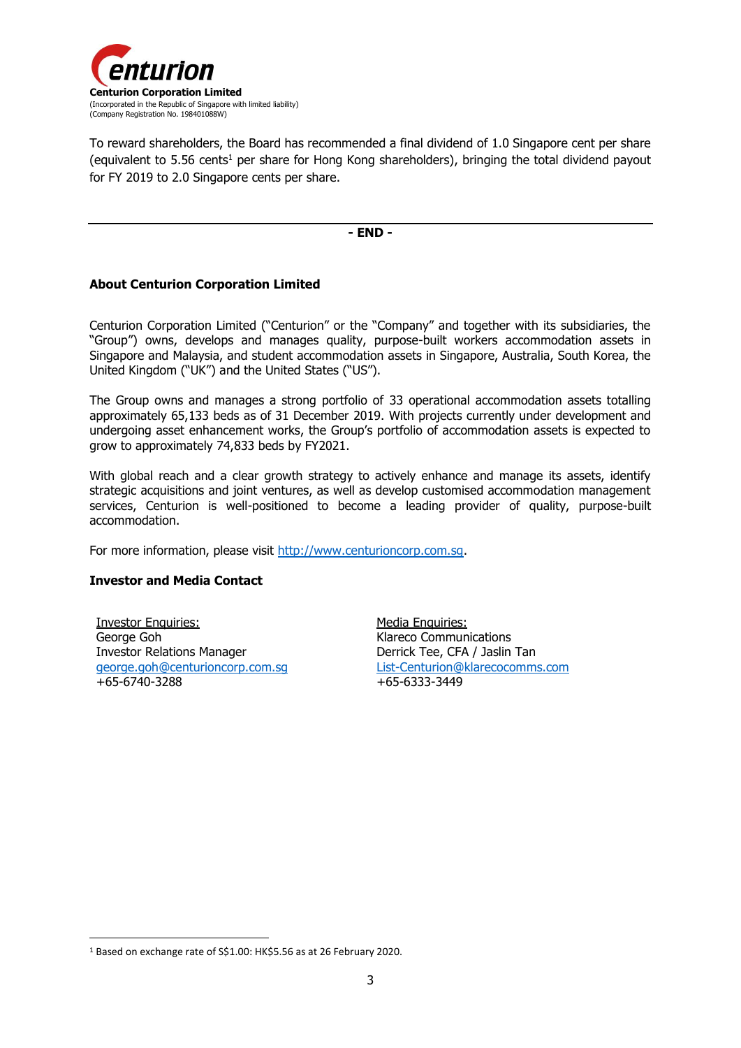

To reward shareholders, the Board has recommended a final dividend of 1.0 Singapore cent per share (equivalent to  $5.56$  cents<sup>1</sup> per share for Hong Kong shareholders), bringing the total dividend payout for FY 2019 to 2.0 Singapore cents per share.

**- END -**

#### **About Centurion Corporation Limited**

Centurion Corporation Limited ("Centurion" or the "Company" and together with its subsidiaries, the "Group") owns, develops and manages quality, purpose-built workers accommodation assets in Singapore and Malaysia, and student accommodation assets in Singapore, Australia, South Korea, the United Kingdom ("UK") and the United States ("US").

The Group owns and manages a strong portfolio of 33 operational accommodation assets totalling approximately 65,133 beds as of 31 December 2019. With projects currently under development and undergoing asset enhancement works, the Group's portfolio of accommodation assets is expected to grow to approximately 74,833 beds by FY2021.

With global reach and a clear growth strategy to actively enhance and manage its assets, identify strategic acquisitions and joint ventures, as well as develop customised accommodation management services, Centurion is well-positioned to become a leading provider of quality, purpose-built accommodation.

For more information, please visit [http://www.centurioncorp.com.sg.](http://www.centurioncorp.com.sg/)

#### **Investor and Media Contact**

1

Investor Enquiries: George Goh Investor Relations Manager [george.goh@centurioncorp.com.sg](mailto:george.goh@centurioncorp.com.sg) +65-6740-3288

Media Enquiries: Klareco Communications Derrick Tee, CFA / Jaslin Tan [List-Centurion@klarecocomms.com](mailto:List-Centurion@klarecocomms.com) +65-6333-3449

<sup>1</sup> Based on exchange rate of S\$1.00: HK\$5.56 as at 26 February 2020.